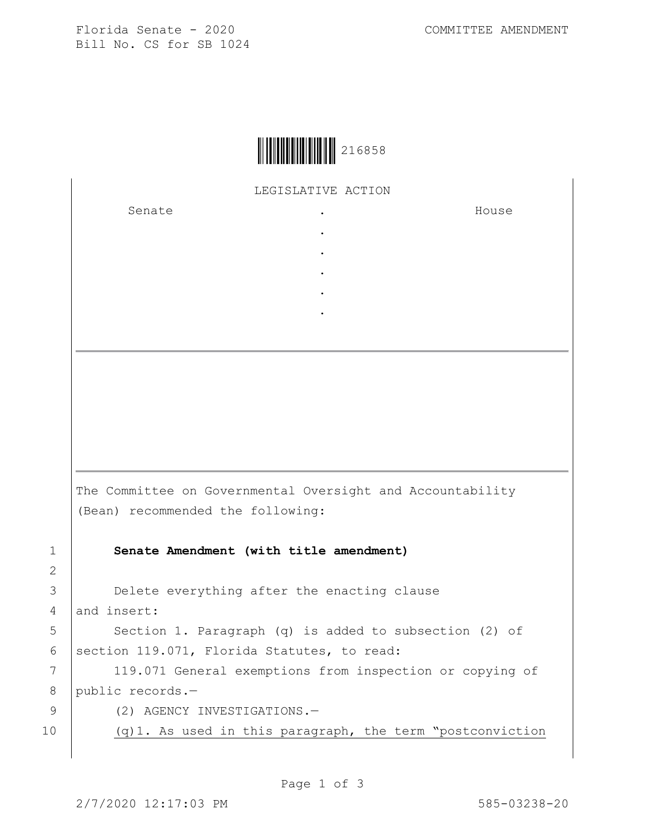Florida Senate - 2020 COMMITTEE AMENDMENT Bill No. CS for SB 1024



LEGISLATIVE ACTION

. . . . .

Senate .

House

The Committee on Governmental Oversight and Accountability (Bean) recommended the following: 1 **Senate Amendment (with title amendment)** 3 **Delete everything after the enacting clause** 4 and insert: 5 | Section 1. Paragraph (q) is added to subsection (2) of 6 | section 119.071, Florida Statutes, to read: 7 | 119.071 General exemptions from inspection or copying of 8 public records.-9 (2) AGENCY INVESTIGATIONS.-10 (q)1. As used in this paragraph, the term "postconviction

2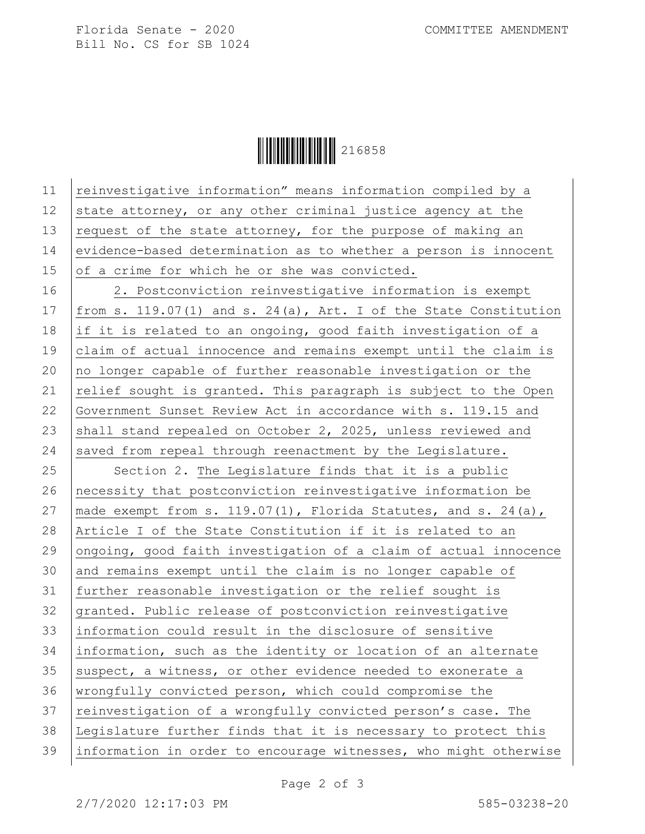Florida Senate - 2020 COMMITTEE AMENDMENT Bill No. CS for SB 1024

**TERRITTE IN 1999** 216858

11 | reinvestigative information" means information compiled by a 12 state attorney, or any other criminal justice agency at the 13  $\vert$  request of the state attorney, for the purpose of making an 14 evidence-based determination as to whether a person is innocent 15 of a crime for which he or she was convicted. 16 2. Postconviction reinvestigative information is exempt 17  $|$  from s. 119.07(1) and s. 24(a), Art. I of the State Constitution 18 if it is related to an ongoing, good faith investigation of a 19 claim of actual innocence and remains exempt until the claim is 20  $|$  no longer capable of further reasonable investigation or the 21  $|$  relief sought is granted. This paragraph is subject to the Open 22 Government Sunset Review Act in accordance with s. 119.15 and 23 shall stand repealed on October 2, 2025, unless reviewed and 24 saved from repeal through reenactment by the Legislature. 25 Section 2. The Legislature finds that it is a public 26 necessity that postconviction reinvestigative information be 27 | made exempt from s. 119.07(1), Florida Statutes, and s. 24(a), 28 Article I of the State Constitution if it is related to an 29 ongoing, good faith investigation of a claim of actual innocence 30 and remains exempt until the claim is no longer capable of 31 further reasonable investigation or the relief sought is 32 granted. Public release of postconviction reinvestigative 33 information could result in the disclosure of sensitive 34 information, such as the identity or location of an alternate  $35$  suspect, a witness, or other evidence needed to exonerate a 36 wrongfully convicted person, which could compromise the 37 reinvestigation of a wrongfully convicted person's case. The 38 Legislature further finds that it is necessary to protect this 39 information in order to encourage witnesses, who might otherwise